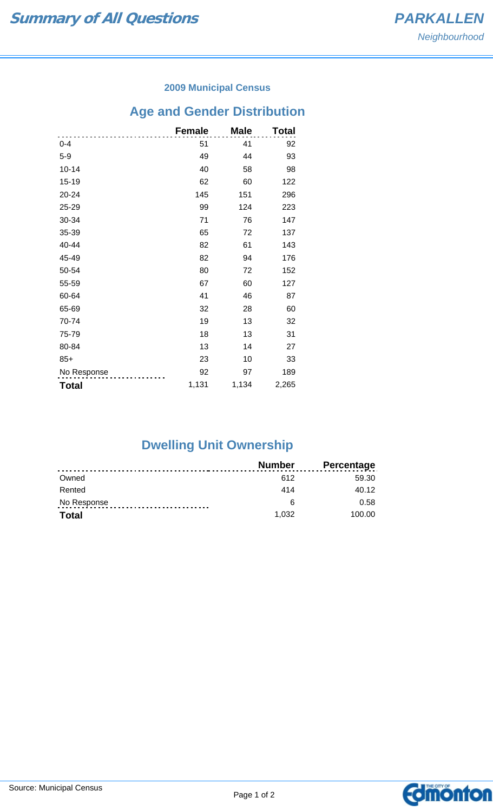### **2009 Municipal Census**

# **Age and Gender Distribution**

|              | <b>Female</b> | <b>Male</b> | Total |
|--------------|---------------|-------------|-------|
| $0 - 4$      | 51            | 41          | 92    |
| $5-9$        | 49            | 44          | 93    |
| $10 - 14$    | 40            | 58          | 98    |
| 15-19        | 62            | 60          | 122   |
| 20-24        | 145           | 151         | 296   |
| 25-29        | 99            | 124         | 223   |
| 30-34        | 71            | 76          | 147   |
| 35-39        | 65            | 72          | 137   |
| 40-44        | 82            | 61          | 143   |
| 45-49        | 82            | 94          | 176   |
| 50-54        | 80            | 72          | 152   |
| 55-59        | 67            | 60          | 127   |
| 60-64        | 41            | 46          | 87    |
| 65-69        | 32            | 28          | 60    |
| 70-74        | 19            | 13          | 32    |
| 75-79        | 18            | 13          | 31    |
| 80-84        | 13            | 14          | 27    |
| $85+$        | 23            | 10          | 33    |
| No Response  | 92            | 97          | 189   |
| <b>Total</b> | 1,131         | 1,134       | 2,265 |

# **Dwelling Unit Ownership**

|              | Number | <b>Percentage</b> |
|--------------|--------|-------------------|
| Owned        | 612    | 59.30             |
| Rented       | 414    | 40.12             |
| No Response  | 6      | 0.58              |
| <b>Total</b> | 1.032  | 100.00            |